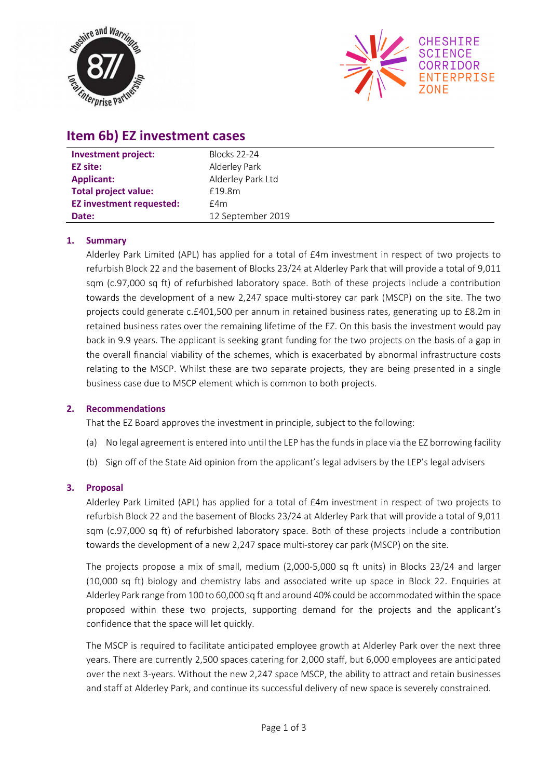



# **Item 6b) EZ investment cases**

| <b>Investment project:</b>      | <b>Blocks 22-24</b> |
|---------------------------------|---------------------|
| <b>EZ site:</b>                 | Alderley Park       |
| <b>Applicant:</b>               | Alderley Park Ltd   |
| <b>Total project value:</b>     | £19.8m              |
| <b>EZ investment requested:</b> | £4m                 |
| Date:                           | 12 September 2019   |

### **1. Summary**

Alderley Park Limited (APL) has applied for a total of £4m investment in respect of two projects to refurbish Block 22 and the basement of Blocks 23/24 at Alderley Park that will provide a total of 9,011 sqm (c.97,000 sq ft) of refurbished laboratory space. Both of these projects include a contribution towards the development of a new 2,247 space multi-storey car park (MSCP) on the site. The two projects could generate c.£401,500 per annum in retained business rates, generating up to £8.2m in retained business rates over the remaining lifetime of the EZ. On this basis the investment would pay back in 9.9 years. The applicant is seeking grant funding for the two projects on the basis of a gap in the overall financial viability of the schemes, which is exacerbated by abnormal infrastructure costs relating to the MSCP. Whilst these are two separate projects, they are being presented in a single business case due to MSCP element which is common to both projects.

#### **2. Recommendations**

That the EZ Board approves the investment in principle, subject to the following:

- (a) No legal agreement is entered into until the LEP has the funds in place via the EZ borrowing facility
- (b) Sign off of the State Aid opinion from the applicant's legal advisers by the LEP's legal advisers

#### **3. Proposal**

Alderley Park Limited (APL) has applied for a total of £4m investment in respect of two projects to refurbish Block 22 and the basement of Blocks 23/24 at Alderley Park that will provide a total of 9,011 sqm (c.97,000 sq ft) of refurbished laboratory space. Both of these projects include a contribution towards the development of a new 2,247 space multi‐storey car park (MSCP) on the site.

The projects propose a mix of small, medium (2,000-5,000 sq ft units) in Blocks 23/24 and larger (10,000 sq ft) biology and chemistry labs and associated write up space in Block 22. Enquiries at Alderley Park range from 100 to 60,000 sq ft and around 40% could be accommodated within the space proposed within these two projects, supporting demand for the projects and the applicant's confidence that the space will let quickly.

The MSCP is required to facilitate anticipated employee growth at Alderley Park over the next three years. There are currently 2,500 spaces catering for 2,000 staff, but 6,000 employees are anticipated over the next 3‐years. Without the new 2,247 space MSCP, the ability to attract and retain businesses and staff at Alderley Park, and continue its successful delivery of new space is severely constrained.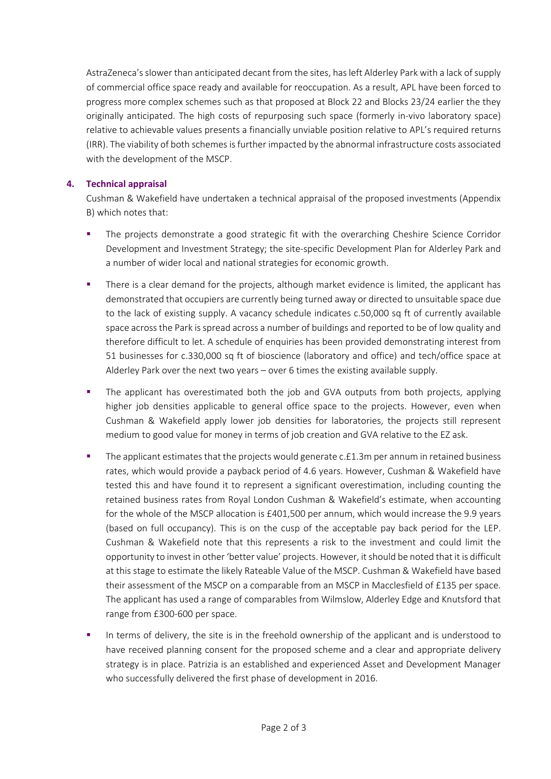AstraZeneca's slower than anticipated decant from the sites, has left Alderley Park with a lack of supply of commercial office space ready and available for reoccupation. As a result, APL have been forced to progress more complex schemes such as that proposed at Block 22 and Blocks 23/24 earlier the they originally anticipated. The high costs of repurposing such space (formerly in-vivo laboratory space) relative to achievable values presents a financially unviable position relative to APL's required returns (IRR). The viability of both schemes is further impacted by the abnormal infrastructure costs associated with the development of the MSCP.

#### **4. Technical appraisal**

Cushman & Wakefield have undertaken a technical appraisal of the proposed investments (Appendix B) which notes that:

- The projects demonstrate a good strategic fit with the overarching Cheshire Science Corridor Development and Investment Strategy; the site-specific Development Plan for Alderley Park and a number of wider local and national strategies for economic growth.
- There is a clear demand for the projects, although market evidence is limited, the applicant has demonstrated that occupiers are currently being turned away or directed to unsuitable space due to the lack of existing supply. A vacancy schedule indicates c.50,000 sq ft of currently available space across the Park is spread across a number of buildings and reported to be of low quality and therefore difficult to let. A schedule of enquiries has been provided demonstrating interest from 51 businesses for c.330,000 sq ft of bioscience (laboratory and office) and tech/office space at Alderley Park over the next two years – over 6 times the existing available supply.
- The applicant has overestimated both the job and GVA outputs from both projects, applying higher job densities applicable to general office space to the projects. However, even when Cushman & Wakefield apply lower job densities for laboratories, the projects still represent medium to good value for money in terms of job creation and GVA relative to the EZ ask.
- The applicant estimates that the projects would generate c.£1.3m per annum in retained business rates, which would provide a payback period of 4.6 years. However, Cushman & Wakefield have tested this and have found it to represent a significant overestimation, including counting the retained business rates from Royal London Cushman & Wakefield's estimate, when accounting for the whole of the MSCP allocation is £401,500 per annum, which would increase the 9.9 years (based on full occupancy). This is on the cusp of the acceptable pay back period for the LEP. Cushman & Wakefield note that this represents a risk to the investment and could limit the opportunity to invest in other 'better value' projects. However, it should be noted that it is difficult at this stage to estimate the likely Rateable Value of the MSCP. Cushman & Wakefield have based their assessment of the MSCP on a comparable from an MSCP in Macclesfield of £135 per space. The applicant has used a range of comparables from Wilmslow, Alderley Edge and Knutsford that range from £300‐600 per space.
- In terms of delivery, the site is in the freehold ownership of the applicant and is understood to have received planning consent for the proposed scheme and a clear and appropriate delivery strategy is in place. Patrizia is an established and experienced Asset and Development Manager who successfully delivered the first phase of development in 2016.